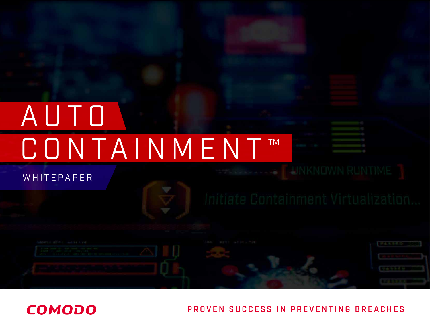# AUTO CONTAINMENT™

### **WHITEPAPER**

**COMODO**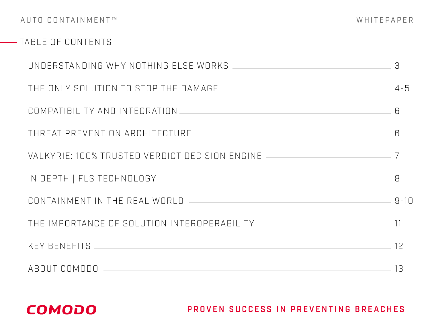### **-- TABLE OF CONTENTS**

|                                                                                                                                                                                                                                             | З,         |
|---------------------------------------------------------------------------------------------------------------------------------------------------------------------------------------------------------------------------------------------|------------|
|                                                                                                                                                                                                                                             |            |
| COMPATIBILITY AND INTEGRATION                                                                                                                                                                                                               | $\sqrt{2}$ |
| THREAT PREVENTION ARCHITECTURE                                                                                                                                                                                                              | $\sqrt{2}$ |
|                                                                                                                                                                                                                                             |            |
|                                                                                                                                                                                                                                             | 8          |
| CONTAINMENT IN THE REAL WORLD   40 AM AND THE REAL WORLD                                                                                                                                                                                    |            |
| THE IMPORTANCE OF SOLUTION INTEROPERABILITY [2000] THE IMPORTANCE OF SOLUTION INTEROPERABILITY                                                                                                                                              |            |
| KEY BENEFITS THE CONTROL CONTROL CONTROL CONTROL CONTROL CONTROL CONTROL CONTROL CONTROL CONTROL CONTROL CONTROL CONTROL CONTROL CONTROL CONTROL CONTROL CONTROL CONTROL CONTROL CONTROL CONTROL CONTROL CONTROL CONTROL CONTR<br>$\sim$ 12 |            |
| ABOUT COMODO                                                                                                                                                                                                                                | 13         |

### **COMODO**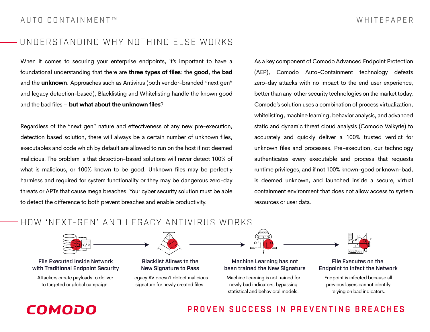### UNDERSTANDING WHY NOTHING ELSE WORKS

When it comes to securing your enterprise endpoints, it's important to have a foundational understanding that there are **three types of files**: the **good**, the **bad**  and the **unknown**. Approaches such as Antivirus (both vendor-branded "next gen" and legacy detection-based), Blacklisting and Whitelisting handle the known good and the bad files – **but what about the unknown files**?

Regardless of the "next gen" nature and effectiveness of any new pre-execution, detection based solution, there will always be a certain number of unknown files, executables and code which by default are allowed to run on the host if not deemed malicious. The problem is that detection-based solutions will never detect 100% of what is malicious, or 100% known to be good. Unknown files may be perfectly harmless and required for system functionality or they may be dangerous zero-day threats or APTs that cause mega breaches. Your cyber security solution must be able to detect the difference to both prevent breaches and enable productivity.

As a key component of Comodo Advanced Endpoint Protection (AEP), Comodo Auto-Containment technology defeats zero-day attacks with no impact to the end user experience, better than any other security technologies on the market today. Comodo's solution uses a combination of process virtualization, whitelisting, machine learning, behavior analysis, and advanced static and dynamic threat cloud analysis (Comodo Valkyrie) to accurately and quickly deliver a 100% trusted verdict for unknown files and processes. Pre-execution, our technology authenticates every executable and process that requests runtime privileges, and if not 100% known-good or known-bad, is deemed unknown, and launched inside a secure, virtual containment environment that does not allow access to system resources or user data.

### HOW 'NEXT-GEN' AND LEGACY ANTIVIRUS WORKS



File Executed Inside Network with Traditional Endpoint Security

Attackers create payloads to deliver to targeted or global campaign.



Blacklist Allows to the New Signature to Pass

Legacy AV doesn't detect malicious signature for newly created files.

Machine Learning has not been trained the New Signature

Machine Learning is not trained for newly bad indicators, bypassing statistical and behavioral models.



File Executes on the Endpoint to Infect the Network

Endpoint is infected because all previous layers cannot identify relying on bad indicators.

# COMODO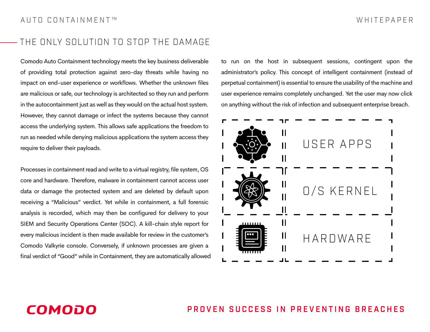### THE ONLY SOLUTION TO STOP THE DAMAGE

Comodo Auto Containment technology meets the key business deliverable of providing total protection against zero-day threats while having no impact on end-user experience or workflows. Whether the unknown files are malicious or safe, our technology is architected so they run and perform in the autocontainment just as well as they would on the actual host system. However, they cannot damage or infect the systems because they cannot access the underlying system. This allows safe applications the freedom to run as needed while denying malicious applications the system access they require to deliver their payloads.

Processes in containment read and write to a virtual registry, file system, OS core and hardware. Therefore, malware in containment cannot access user data or damage the protected system and are deleted by default upon receiving a "Malicious" verdict. Yet while in containment, a full forensic analysis is recorded, which may then be configured for delivery to your SIEM and Security Operations Center (SOC). A kill-chain style report for every malicious incident is then made available for review in the customer's Comodo Valkyrie console. Conversely, if unknown processes are given a final verdict of "Good" while in Containment, they are automatically allowed to run on the host in subsequent sessions, contingent upon the administrator's policy. This concept of intelligent containment (instead of perpetual containment) is essential to ensure the usability of the machine and user experience remains completely unchanged. Yet the user may now click on anything without the risk of infection and subsequent enterprise breach.



### COMODO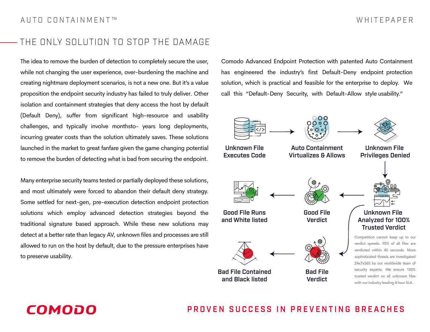### THE ONLY SOLUTION TO STOP THE DAMAGE

The idea to remove the burden of detection to completely secure the user, while not changing the user experience, over-burdening the machine and creating nightmare deployment scenarios, is not a new one. But it's a value proposition the endpoint security industry has failed to truly deliver. Other isolation and containment strategies that deny access the host by default (Default Deny), suffer from significant high-resource and usability challenges, and typically involve monthsto- years long deployments, incurring greater costs than the solution ultimately saves. These solutions launched in the market to great fanfare given the game changing potential to remove the burden of detecting what is bad from securing the endpoint.

Many enterprise security teams tested or partially deployed these solutions, and most ultimately were forced to abandon their default deny strategy. Some settled for next-gen, pre-execution detection endpoint protection solutions which employ advanced detection strategies beyond the traditional signature based approach. While these new solutions may detect at a better rate than legacy AV, unknown files and processes are still allowed to run on the host by default, due to the pressure enterprises have to preserve usability.

Comodo Advanced Endpoint Protection with patented Auto Containment has engineered the industry's first Default-Deny endpoint protection solution, which is practical and feasible for the enterprise to deploy. We call this "Default-Deny Security, with Default-Allow style usability."



### COMODO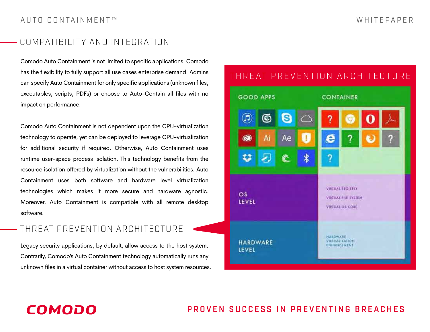### COMPATIBILITY AND INTEGRATION

Comodo Auto Containment is not limited to specific applications. Comodo has the flexibility to fully support all use cases enterprise demand. Admins can specify Auto Containment for only specific applications (unknown files, executables, scripts, PDFs) or choose to Auto-Contain all files with no impact on performance.

Comodo Auto Containment is not dependent upon the CPU-virtualization technology to operate, yet can be deployed to leverage CPU-virtualization for additional security if required. Otherwise, Auto Containment uses runtime user-space process isolation. This technology benefits from the resource isolation offered by virtualization without the vulnerabilities. Auto Containment uses both software and hardware level virtualization technologies which makes it more secure and hardware agnostic. Moreover, Auto Containment is compatible with all remote desktop software.

### THREAT PREVENTION ARCHITECTURE

**COMODO** 

Legacy security applications, by default, allow access to the host system. Contrarily, Comodo's Auto Containment technology automatically runs any unknown files in a virtual container without access to host system resources.

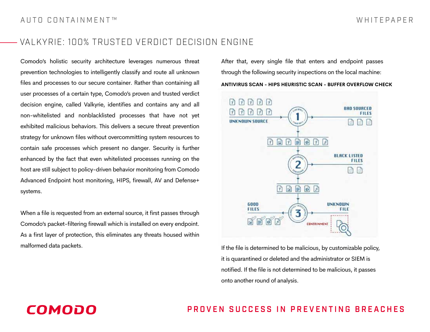### VALKYRIE: 100% TRUSTED VERDICT DECISION ENGINE

Comodo's holistic security architecture leverages numerous threat prevention technologies to intelligently classify and route all unknown files and processes to our secure container. Rather than containing all user processes of a certain type, Comodo's proven and trusted verdict decision engine, called Valkyrie, identifies and contains any and all non-whitelisted and nonblacklisted processes that have not yet exhibited malicious behaviors. This delivers a secure threat prevention strategy for unknown files without overcommitting system resources to contain safe processes which present no danger. Security is further enhanced by the fact that even whitelisted processes running on the host are still subject to policy-driven behavior monitoring from Comodo Advanced Endpoint host monitoring, HIPS, firewall, AV and Defense+ systems.

When a file is requested from an external source, it first passes through Comodo's packet-filtering firewall which is installed on every endpoint. As a first layer of protection, this eliminates any threats housed within malformed data packets.

After that, every single file that enters and endpoint passes through the following security inspections on the local machine:

**ANTIVIRUS SCAN - HIPS HEURISTIC SCAN - BUFFER OVERFLOW CHECK**



If the file is determined to be malicious, by customizable policy, it is quarantined or deleted and the administrator or SIEM is notified. If the file is not determined to be malicious, it passes onto another round of analysis.

## COMODO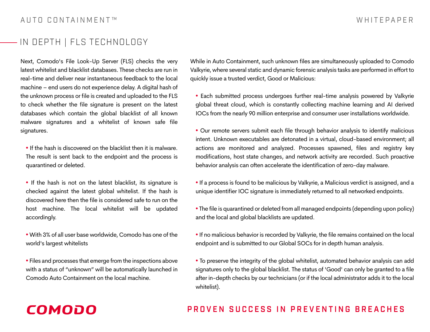### IN DEPTH | FLS TECHNOLOGY

Next, Comodo's File Look-Up Server (FLS) checks the very latest whitelist and blacklist databases. These checks are run in real-time and deliver near instantaneous feedback to the local machine – end users do not experience delay. A digital hash of the unknown process or file is created and uploaded to the FLS to check whether the file signature is present on the latest databases which contain the global blacklist of all known malware signatures and a whitelist of known safe file signatures.

• If the hash is discovered on the blacklist then it is malware. The result is sent back to the endpoint and the process is quarantined or deleted.

• If the hash is not on the latest blacklist, its signature is checked against the latest global whitelist. If the hash is discovered here then the file is considered safe to run on the host machine. The local whitelist will be updated accordingly.

• With 3% of all user base worldwide, Comodo has one of the world's largest whitelists

• Files and processes that emerge from the inspections above with a status of "unknown" will be automatically launched in Comodo Auto Containment on the local machine.

While in Auto Containment, such unknown files are simultaneously uploaded to Comodo Valkyrie, where several static and dynamic forensic analysis tasks are performed in effort to quickly issue a trusted verdict, Good or Malicious:

• Each submitted process undergoes further real-time analysis powered by Valkyrie global threat cloud, which is constantly collecting machine learning and AI derived IOCs from the nearly 90 million enterprise and consumer user installations worldwide.

• Our remote servers submit each file through behavior analysis to identify malicious intent. Unknown executables are detonated in a virtual, cloud-based environment; all actions are monitored and analyzed. Processes spawned, files and registry key modifications, host state changes, and network activity are recorded. Such proactive behavior analysis can often accelerate the identification of zero-day malware.

• If a process is found to be malicious by Valkyrie, a Malicious verdict is assigned, and a unique identifier IOC signature is immediately returned to all networked endpoints.

• The file is quarantined or deleted from all managed endpoints (depending upon policy) and the local and global blacklists are updated.

• If no malicious behavior is recorded by Valkyrie, the file remains contained on the local endpoint and is submitted to our Global SOCs for in depth human analysis.

• To preserve the integrity of the global whitelist, automated behavior analysis can add signatures only to the global blacklist. The status of 'Good' can only be granted to a file after in-depth checks by our technicians (or if the local administrator adds it to the local whitelist).

### **COMODO**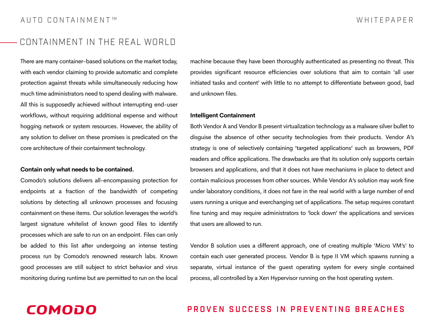### CONTAINMENT IN THE REAL WORLD

There are many container-based solutions on the market today, with each vendor claiming to provide automatic and complete protection against threats while simultaneously reducing how much time administrators need to spend dealing with malware. All this is supposedly achieved without interrupting end-user workflows, without requiring additional expense and without hogging network or system resources. However, the ability of any solution to deliver on these promises is predicated on the core architecture of their containment technology.

#### **Contain only what needs to be contained.**

Comodo's solutions delivers all-encompassing protection for endpoints at a fraction of the bandwidth of competing solutions by detecting all unknown processes and focusing containment on these items. Our solution leverages the world's largest signature whitelist of known good files to identify processes which are safe to run on an endpoint. Files can only be added to this list after undergoing an intense testing process run by Comodo's renowned research labs. Known good processes are still subject to strict behavior and virus monitoring during runtime but are permitted to run on the local

machine because they have been thoroughly authenticated as presenting no threat. This provides significant resource efficiencies over solutions that aim to contain 'all user initiated tasks and content' with little to no attempt to differentiate between good, bad and unknown files.

#### **Intelligent Containment**

Both Vendor A and Vendor B present virtualization technology as a malware silver bullet to disguise the absence of other security technologies from their products. Vendor A's strategy is one of selectively containing 'targeted applications' such as browsers, PDF readers and office applications. The drawbacks are that its solution only supports certain browsers and applications, and that it does not have mechanisms in place to detect and contain malicious processes from other sources. While Vendor A's solution may work fine under laboratory conditions, it does not fare in the real world with a large number of end users running a unique and everchanging set of applications. The setup requires constant fine tuning and may require administrators to 'lock down' the applications and services that users are allowed to run.

Vendor B solution uses a different approach, one of creating multiple 'Micro VM's' to contain each user generated process. Vendor B is type II VM which spawns running a separate, virtual instance of the guest operating system for every single contained process, all controlled by a Xen Hypervisor running on the host operating system.

### **COMODO**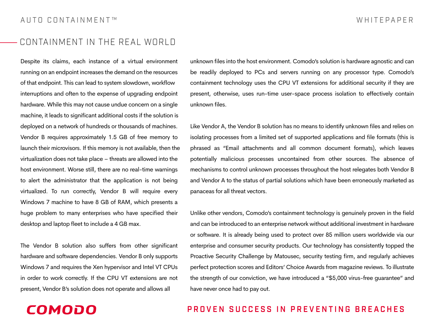### CONTAINMENT IN THE REAL WORLD

Despite its claims, each instance of a virtual environment running on an endpoint increases the demand on the resources of that endpoint. This can lead to system slowdown, workflow interruptions and often to the expense of upgrading endpoint hardware. While this may not cause undue concern on a single machine, it leads to significant additional costs if the solution is deployed on a network of hundreds or thousands of machines. Vendor B requires approximately 1.5 GB of free memory to launch their microvisors. If this memory is not available, then the virtualization does not take place – threats are allowed into the host environment. Worse still, there are no real-time warnings to alert the administrator that the application is not being virtualized. To run correctly, Vendor B will require every Windows 7 machine to have 8 GB of RAM, which presents a huge problem to many enterprises who have specified their desktop and laptop fleet to include a 4 GB max.

The Vendor B solution also suffers from other significant hardware and software dependencies. Vendor B only supports Windows 7 and requires the Xen hypervisor and Intel VT CPUs in order to work correctly. If the CPU VT extensions are not present, Vendor B's solution does not operate and allows all

**COMODO** 

unknown files into the host environment. Comodo's solution is hardware agnostic and can be readily deployed to PCs and servers running on any processor type. Comodo's containment technology uses the CPU VT extensions for additional security if they are present, otherwise, uses run-time user-space process isolation to effectively contain unknown files.

Like Vendor A, the Vendor B solution has no means to identify unknown files and relies on isolating processes from a limited set of supported applications and file formats (this is phrased as "Email attachments and all common document formats), which leaves potentially malicious processes uncontained from other sources. The absence of mechanisms to control unknown processes throughout the host relegates both Vendor B and Vendor A to the status of partial solutions which have been erroneously marketed as panaceas for all threat vectors.

Unlike other vendors, Comodo's containment technology is genuinely proven in the field and can be introduced to an enterprise network without additional investment in hardware or software. It is already being used to protect over 85 million users worldwide via our enterprise and consumer security products. Our technology has consistently topped the Proactive Security Challenge by Matousec, security testing firm, and regularly achieves perfect protection scores and Editors' Choice Awards from magazine reviews. To illustrate the strength of our conviction, we have introduced a "\$5,000 virus-free guarantee" and have never once had to pay out.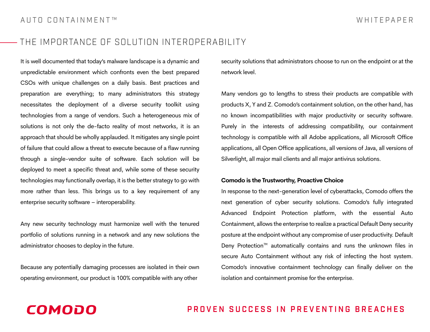### THE IMPORTANCE OF SOLUTION INTEROPERABILITY

It is well documented that today's malware landscape is a dynamic and unpredictable environment which confronts even the best prepared CSOs with unique challenges on a daily basis. Best practices and preparation are everything; to many administrators this strategy necessitates the deployment of a diverse security toolkit using technologies from a range of vendors. Such a heterogeneous mix of solutions is not only the de-facto reality of most networks, it is an approach that should be wholly applauded. It mitigates any single point of failure that could allow a threat to execute because of a flaw running through a single-vendor suite of software. Each solution will be deployed to meet a specific threat and, while some of these security technologies may functionally overlap, it is the better strategy to go with more rather than less. This brings us to a key requirement of any enterprise security software – interoperability.

Any new security technology must harmonize well with the tenured portfolio of solutions running in a network and any new solutions the administrator chooses to deploy in the future.

Because any potentially damaging processes are isolated in their own operating environment, our product is 100% compatible with any other

security solutions that administrators choose to run on the endpoint or at the network level.

Many vendors go to lengths to stress their products are compatible with products X, Y and Z. Comodo's containment solution, on the other hand, has no known incompatibilities with major productivity or security software. Purely in the interests of addressing compatibility, our containment technology is compatible with all Adobe applications, all Microsoft Office applications, all Open Office applications, all versions of Java, all versions of Silverlight, all major mail clients and all major antivirus solutions.

#### **Comodo is the Trustworthy, Proactive Choice**

In response to the next-generation level of cyberattacks, Comodo offers the next generation of cyber security solutions. Comodo's fully integrated Advanced Endpoint Protection platform, with the essential Auto Containment, allows the enterprise to realize a practical Default Deny security posture at the endpoint without any compromise of user productivity. Default Deny Protection<sup>™</sup> automatically contains and runs the unknown files in secure Auto Containment without any risk of infecting the host system. Comodo's innovative containment technology can finally deliver on the isolation and containment promise for the enterprise.

### **COMODO**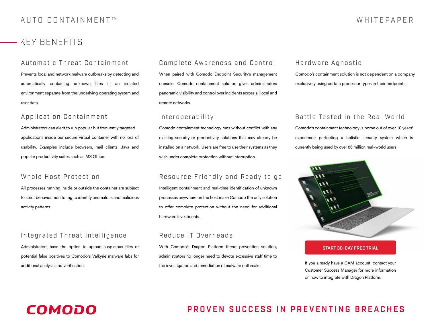### KEY BENEFITS

Prevents local and network malware outbreaks by detecting and automatically containing unknown files in an isolated environment separate from the underlying operating system and user data.

### Application Containment

Administrators can elect to run popular but frequently targeted applications inside our secure virtual container with no loss of usability. Examples include browsers, mail clients, Java and popular productivity suites such as MS Office.

#### Whole Host Protection

All processes running inside or outside the container are subject to strict behavior monitoring to identify anomalous and malicious activity patterns.

### Integrated Threat Intelligence

Administrators have the option to upload suspicious files or potential false positives to Comodo's Valkyrie malware labs for additional analysis and verification.

### Automatic Threat Containment Complete Awareness and Control

When paired with Comodo Endpoint Security's management console, Comodo containment solution gives administrators panoramic visibility and control over incidents across all local and remote networks.

### Interoperability

Comodo containment technology runs without conflict with any existing security or productivity solutions that may already be installed on a network. Users are free to use their systems as they wish under complete protection without interruption.

### Resource Friendly and Ready to go

Intelligent containment and real-time identification of unknown processes anywhere on the host make Comodo the only solution to offer complete protection without the need for additional hardware investments.

#### Reduce IT Overheads

With Comodo's Dragon Platform threat prevention solution, administrators no longer need to devote excessive staff time to the investigation and remediation of malware outbreaks.

### Hardware Agnostic

Comodo's containment solution is not dependent on a company exclusively using certain processor types in their endpoints.

### Battle Tested in the Real World

Comodo's containment technology is borne out of over 10 years' experience perfecting a holistic security system which is currently being used by over 85 million real-world users.



#### [START 30-DAY FREE TRIAL](https://platform.comodo.com/signup/)

If you already have a CAM account, contact your Customer Success Manager for more information on how to integrate with Dragon Platform.

### **COMODO**